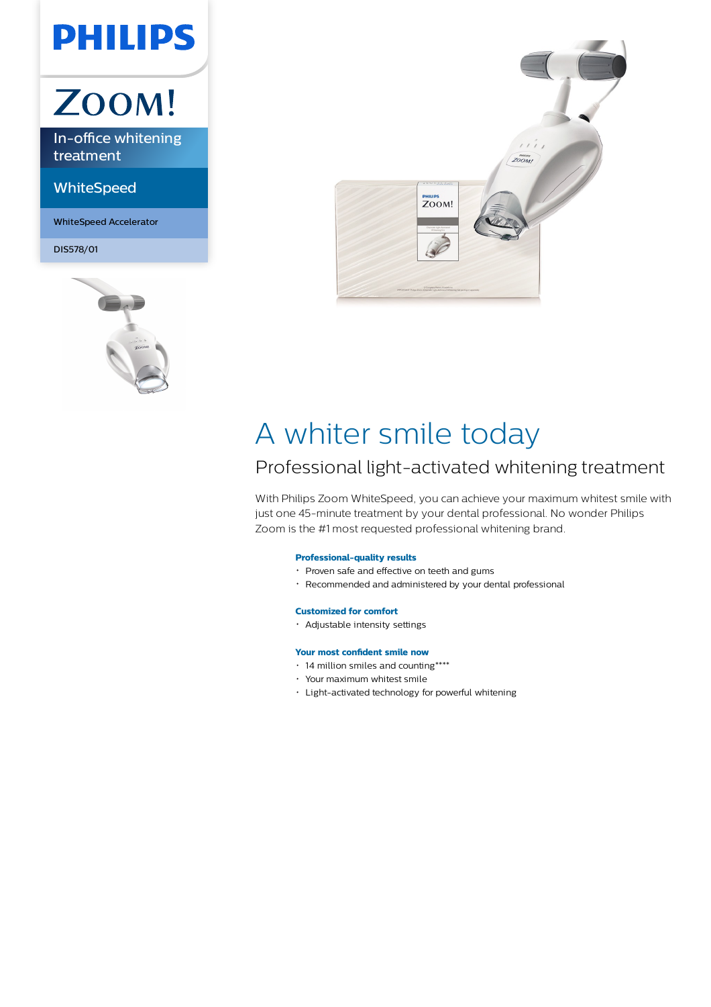## **PHILIPS**

# ZOOM!

In-office whitening treatment

**WhiteSpeed** 

WhiteSpeed Accelerator

DIS578/01





### A whiter smile today

### Professional light-activated whitening treatment

With Philips Zoom WhiteSpeed, you can achieve your maximum whitest smile with just one 45-minute treatment by your dental professional. No wonder Philips Zoom is the #1 most requested professional whitening brand.

### **Professional-quality results**

- Proven safe and effective on teeth and gums
- Recommended and administered by your dental professional

#### **Customized for comfort**

Adjustable intensity settings

#### **Your most confident smile now**

- 14 million smiles and counting\*\*\*\*
- Your maximum whitest smile
- Light-activated technology for powerful whitening